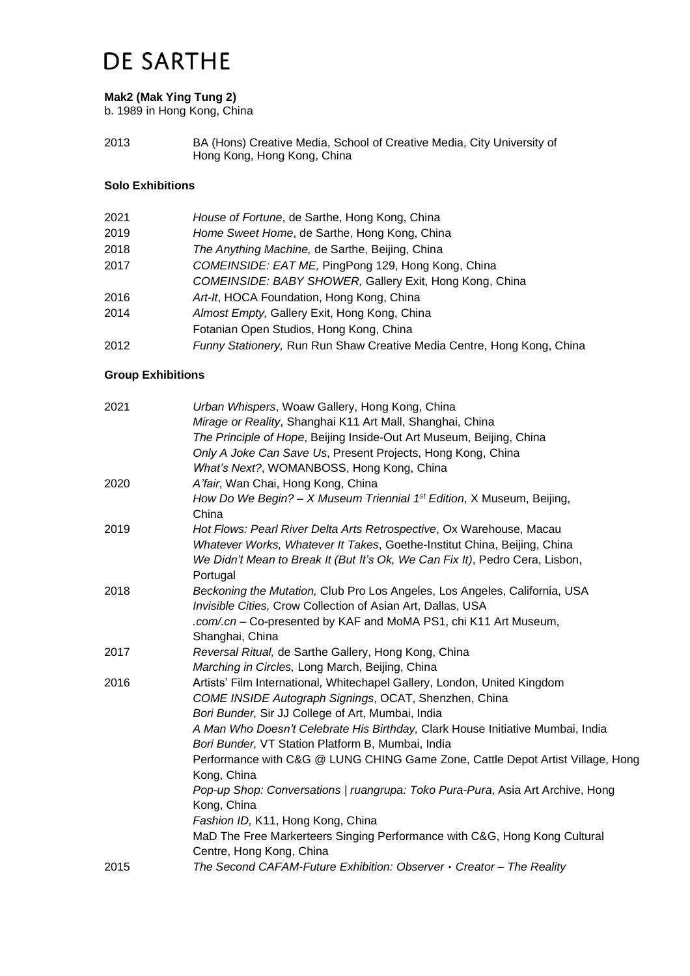## **DE SARTHE**

### **Mak2 (Mak Ying Tung 2)**

b. 1989 in Hong Kong, China

2013 BA (Hons) Creative Media, School of Creative Media, City University of Hong Kong, Hong Kong, China

## **Solo Exhibitions**

| 2021 | House of Fortune, de Sarthe, Hong Kong, China                          |
|------|------------------------------------------------------------------------|
| 2019 | Home Sweet Home, de Sarthe, Hong Kong, China                           |
| 2018 | The Anything Machine, de Sarthe, Beijing, China                        |
| 2017 | COMEINSIDE: EAT ME, PingPong 129, Hong Kong, China                     |
|      | COMEINSIDE: BABY SHOWER, Gallery Exit, Hong Kong, China                |
| 2016 | Art-It, HOCA Foundation, Hong Kong, China                              |
| 2014 | Almost Empty, Gallery Exit, Hong Kong, China                           |
|      | Fotanian Open Studios, Hong Kong, China                                |
| 2012 | Funny Stationery, Run Run Shaw Creative Media Centre, Hong Kong, China |

### **Group Exhibitions**

| 2021 | Urban Whispers, Woaw Gallery, Hong Kong, China                                                |
|------|-----------------------------------------------------------------------------------------------|
|      | Mirage or Reality, Shanghai K11 Art Mall, Shanghai, China                                     |
|      | The Principle of Hope, Beijing Inside-Out Art Museum, Beijing, China                          |
|      | Only A Joke Can Save Us, Present Projects, Hong Kong, China                                   |
|      | What's Next?, WOMANBOSS, Hong Kong, China                                                     |
| 2020 | A'fair, Wan Chai, Hong Kong, China                                                            |
|      | How Do We Begin? - X Museum Triennial $1^{st}$ Edition, X Museum, Beijing,<br>China           |
| 2019 | Hot Flows: Pearl River Delta Arts Retrospective, Ox Warehouse, Macau                          |
|      | Whatever Works, Whatever It Takes, Goethe-Institut China, Beijing, China                      |
|      | We Didn't Mean to Break It (But It's Ok, We Can Fix It), Pedro Cera, Lisbon,<br>Portugal      |
| 2018 | Beckoning the Mutation, Club Pro Los Angeles, Los Angeles, California, USA                    |
|      | Invisible Cities, Crow Collection of Asian Art, Dallas, USA                                   |
|      | .com/.cn - Co-presented by KAF and MoMA PS1, chi K11 Art Museum,                              |
|      | Shanghai, China                                                                               |
| 2017 | Reversal Ritual, de Sarthe Gallery, Hong Kong, China                                          |
|      | Marching in Circles, Long March, Beijing, China                                               |
| 2016 | Artists' Film International, Whitechapel Gallery, London, United Kingdom                      |
|      | COME INSIDE Autograph Signings, OCAT, Shenzhen, China                                         |
|      | Bori Bunder, Sir JJ College of Art, Mumbai, India                                             |
|      | A Man Who Doesn't Celebrate His Birthday, Clark House Initiative Mumbai, India                |
|      | Bori Bunder, VT Station Platform B, Mumbai, India                                             |
|      | Performance with C&G @ LUNG CHING Game Zone, Cattle Depot Artist Village, Hong<br>Kong, China |
|      | Pop-up Shop: Conversations   ruangrupa: Toko Pura-Pura, Asia Art Archive, Hong                |
|      | Kong, China                                                                                   |
|      | Fashion ID, K11, Hong Kong, China                                                             |
|      | MaD The Free Markerteers Singing Performance with C&G, Hong Kong Cultural                     |
|      | Centre, Hong Kong, China                                                                      |
| 2015 | The Second CAFAM-Future Exhibition: Observer $\cdot$ Creator - The Reality                    |
|      |                                                                                               |